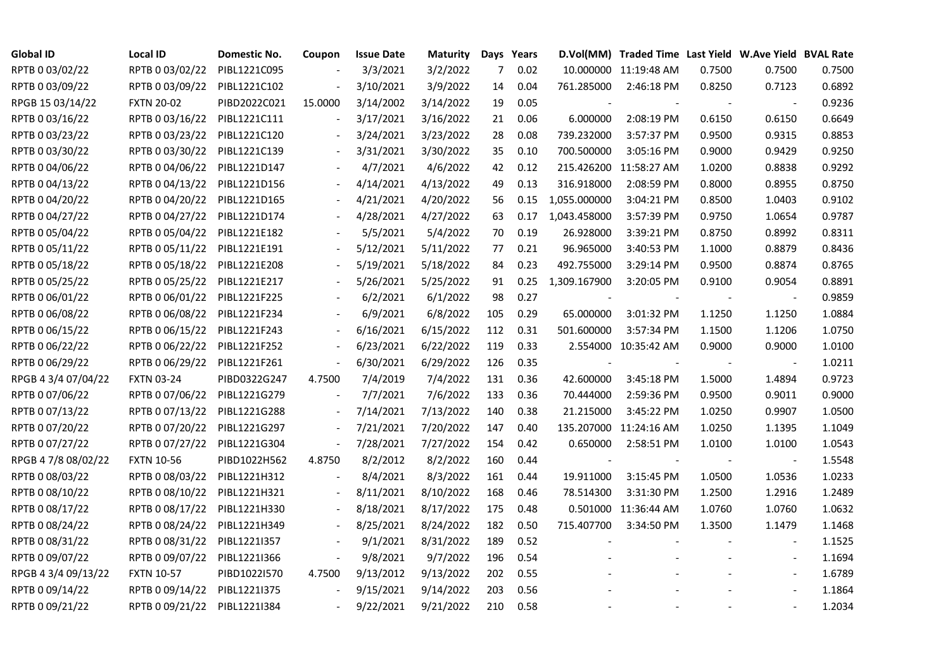| <b>Global ID</b>    | <b>Local ID</b>   | Domestic No. | Coupon                   | <b>Issue Date</b> | <b>Maturity</b> |                | Days Years |              | D.Vol(MM) Traded Time Last Yield W.Ave Yield BVAL Rate |        |                          |        |
|---------------------|-------------------|--------------|--------------------------|-------------------|-----------------|----------------|------------|--------------|--------------------------------------------------------|--------|--------------------------|--------|
| RPTB 0 03/02/22     | RPTB 0 03/02/22   | PIBL1221C095 |                          | 3/3/2021          | 3/2/2022        | $\overline{7}$ | 0.02       |              | 10.000000 11:19:48 AM                                  | 0.7500 | 0.7500                   | 0.7500 |
| RPTB 0 03/09/22     | RPTB 0 03/09/22   | PIBL1221C102 |                          | 3/10/2021         | 3/9/2022        | 14             | 0.04       | 761.285000   | 2:46:18 PM                                             | 0.8250 | 0.7123                   | 0.6892 |
| RPGB 15 03/14/22    | <b>FXTN 20-02</b> | PIBD2022C021 | 15.0000                  | 3/14/2002         | 3/14/2022       | 19             | 0.05       |              |                                                        |        | $\overline{a}$           | 0.9236 |
| RPTB 0 03/16/22     | RPTB 0 03/16/22   | PIBL1221C111 |                          | 3/17/2021         | 3/16/2022       | 21             | 0.06       | 6.000000     | 2:08:19 PM                                             | 0.6150 | 0.6150                   | 0.6649 |
| RPTB 0 03/23/22     | RPTB 0 03/23/22   | PIBL1221C120 |                          | 3/24/2021         | 3/23/2022       | 28             | 0.08       | 739.232000   | 3:57:37 PM                                             | 0.9500 | 0.9315                   | 0.8853 |
| RPTB 0 03/30/22     | RPTB 0 03/30/22   | PIBL1221C139 |                          | 3/31/2021         | 3/30/2022       | 35             | 0.10       | 700.500000   | 3:05:16 PM                                             | 0.9000 | 0.9429                   | 0.9250 |
| RPTB 0 04/06/22     | RPTB 0 04/06/22   | PIBL1221D147 |                          | 4/7/2021          | 4/6/2022        | 42             | 0.12       |              | 215.426200 11:58:27 AM                                 | 1.0200 | 0.8838                   | 0.9292 |
| RPTB 0 04/13/22     | RPTB 0 04/13/22   | PIBL1221D156 |                          | 4/14/2021         | 4/13/2022       | 49             | 0.13       | 316.918000   | 2:08:59 PM                                             | 0.8000 | 0.8955                   | 0.8750 |
| RPTB 0 04/20/22     | RPTB 0 04/20/22   | PIBL1221D165 |                          | 4/21/2021         | 4/20/2022       | 56             | 0.15       | 1,055.000000 | 3:04:21 PM                                             | 0.8500 | 1.0403                   | 0.9102 |
| RPTB 0 04/27/22     | RPTB 0 04/27/22   | PIBL1221D174 |                          | 4/28/2021         | 4/27/2022       | 63             | 0.17       | 1,043.458000 | 3:57:39 PM                                             | 0.9750 | 1.0654                   | 0.9787 |
| RPTB 0 05/04/22     | RPTB 0 05/04/22   | PIBL1221E182 |                          | 5/5/2021          | 5/4/2022        | 70             | 0.19       | 26.928000    | 3:39:21 PM                                             | 0.8750 | 0.8992                   | 0.8311 |
| RPTB 0 05/11/22     | RPTB 0 05/11/22   | PIBL1221E191 |                          | 5/12/2021         | 5/11/2022       | 77             | 0.21       | 96.965000    | 3:40:53 PM                                             | 1.1000 | 0.8879                   | 0.8436 |
| RPTB 0 05/18/22     | RPTB 0 05/18/22   | PIBL1221E208 |                          | 5/19/2021         | 5/18/2022       | 84             | 0.23       | 492.755000   | 3:29:14 PM                                             | 0.9500 | 0.8874                   | 0.8765 |
| RPTB 0 05/25/22     | RPTB 0 05/25/22   | PIBL1221E217 |                          | 5/26/2021         | 5/25/2022       | 91             | 0.25       | 1,309.167900 | 3:20:05 PM                                             | 0.9100 | 0.9054                   | 0.8891 |
| RPTB 0 06/01/22     | RPTB 0 06/01/22   | PIBL1221F225 |                          | 6/2/2021          | 6/1/2022        | 98             | 0.27       |              |                                                        |        | $\blacksquare$           | 0.9859 |
| RPTB 0 06/08/22     | RPTB 0 06/08/22   | PIBL1221F234 |                          | 6/9/2021          | 6/8/2022        | 105            | 0.29       | 65.000000    | 3:01:32 PM                                             | 1.1250 | 1.1250                   | 1.0884 |
| RPTB 0 06/15/22     | RPTB 0 06/15/22   | PIBL1221F243 |                          | 6/16/2021         | 6/15/2022       | 112            | 0.31       | 501.600000   | 3:57:34 PM                                             | 1.1500 | 1.1206                   | 1.0750 |
| RPTB 0 06/22/22     | RPTB 0 06/22/22   | PIBL1221F252 |                          | 6/23/2021         | 6/22/2022       | 119            | 0.33       |              | 2.554000 10:35:42 AM                                   | 0.9000 | 0.9000                   | 1.0100 |
| RPTB 0 06/29/22     | RPTB 0 06/29/22   | PIBL1221F261 | $\overline{\phantom{a}}$ | 6/30/2021         | 6/29/2022       | 126            | 0.35       |              |                                                        |        | $\blacksquare$           | 1.0211 |
| RPGB 4 3/4 07/04/22 | <b>FXTN 03-24</b> | PIBD0322G247 | 4.7500                   | 7/4/2019          | 7/4/2022        | 131            | 0.36       | 42.600000    | 3:45:18 PM                                             | 1.5000 | 1.4894                   | 0.9723 |
| RPTB 0 07/06/22     | RPTB 0 07/06/22   | PIBL1221G279 | $\sim$                   | 7/7/2021          | 7/6/2022        | 133            | 0.36       | 70.444000    | 2:59:36 PM                                             | 0.9500 | 0.9011                   | 0.9000 |
| RPTB 0 07/13/22     | RPTB 0 07/13/22   | PIBL1221G288 |                          | 7/14/2021         | 7/13/2022       | 140            | 0.38       | 21.215000    | 3:45:22 PM                                             | 1.0250 | 0.9907                   | 1.0500 |
| RPTB 0 07/20/22     | RPTB 0 07/20/22   | PIBL1221G297 |                          | 7/21/2021         | 7/20/2022       | 147            | 0.40       |              | 135.207000 11:24:16 AM                                 | 1.0250 | 1.1395                   | 1.1049 |
| RPTB 0 07/27/22     | RPTB 0 07/27/22   | PIBL1221G304 |                          | 7/28/2021         | 7/27/2022       | 154            | 0.42       | 0.650000     | 2:58:51 PM                                             | 1.0100 | 1.0100                   | 1.0543 |
| RPGB 4 7/8 08/02/22 | <b>FXTN 10-56</b> | PIBD1022H562 | 4.8750                   | 8/2/2012          | 8/2/2022        | 160            | 0.44       |              |                                                        |        | $\overline{\phantom{a}}$ | 1.5548 |
| RPTB 0 08/03/22     | RPTB 0 08/03/22   | PIBL1221H312 |                          | 8/4/2021          | 8/3/2022        | 161            | 0.44       | 19.911000    | 3:15:45 PM                                             | 1.0500 | 1.0536                   | 1.0233 |
| RPTB 0 08/10/22     | RPTB 0 08/10/22   | PIBL1221H321 |                          | 8/11/2021         | 8/10/2022       | 168            | 0.46       | 78.514300    | 3:31:30 PM                                             | 1.2500 | 1.2916                   | 1.2489 |
| RPTB 0 08/17/22     | RPTB 0 08/17/22   | PIBL1221H330 |                          | 8/18/2021         | 8/17/2022       | 175            | 0.48       |              | 0.501000 11:36:44 AM                                   | 1.0760 | 1.0760                   | 1.0632 |
| RPTB 0 08/24/22     | RPTB 0 08/24/22   | PIBL1221H349 |                          | 8/25/2021         | 8/24/2022       | 182            | 0.50       | 715.407700   | 3:34:50 PM                                             | 1.3500 | 1.1479                   | 1.1468 |
| RPTB 0 08/31/22     | RPTB 0 08/31/22   | PIBL1221I357 |                          | 9/1/2021          | 8/31/2022       | 189            | 0.52       |              |                                                        |        |                          | 1.1525 |
| RPTB 0 09/07/22     | RPTB 0 09/07/22   | PIBL1221I366 | $\overline{\phantom{a}}$ | 9/8/2021          | 9/7/2022        | 196            | 0.54       |              |                                                        |        | $\overline{\phantom{a}}$ | 1.1694 |
| RPGB 4 3/4 09/13/22 | <b>FXTN 10-57</b> | PIBD1022I570 | 4.7500                   | 9/13/2012         | 9/13/2022       | 202            | 0.55       |              |                                                        |        | $\overline{\phantom{a}}$ | 1.6789 |
| RPTB 0 09/14/22     | RPTB 0 09/14/22   | PIBL1221I375 |                          | 9/15/2021         | 9/14/2022       | 203            | 0.56       |              |                                                        |        |                          | 1.1864 |
| RPTB 0 09/21/22     | RPTB 0 09/21/22   | PIBL1221I384 |                          | 9/22/2021         | 9/21/2022       | 210            | 0.58       |              |                                                        |        | $\blacksquare$           | 1.2034 |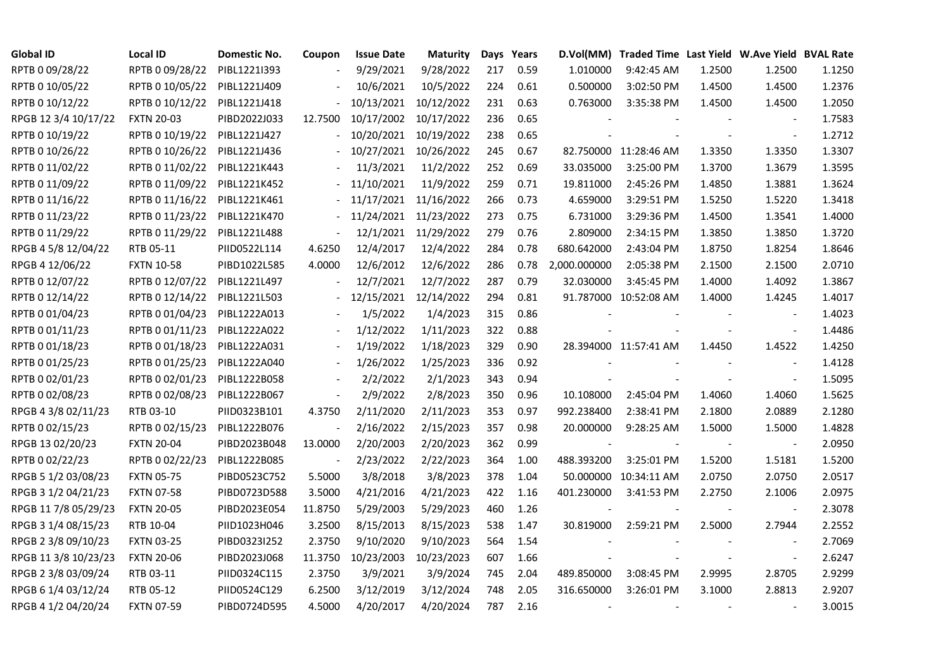| <b>Global ID</b>     | <b>Local ID</b>   | Domestic No. | Coupon         | <b>Issue Date</b> | <b>Maturity</b> |     | Days Years |              | D.Vol(MM) Traded Time Last Yield W.Ave Yield BVAL Rate |        |                          |        |
|----------------------|-------------------|--------------|----------------|-------------------|-----------------|-----|------------|--------------|--------------------------------------------------------|--------|--------------------------|--------|
| RPTB 0 09/28/22      | RPTB 0 09/28/22   | PIBL1221I393 |                | 9/29/2021         | 9/28/2022       | 217 | 0.59       | 1.010000     | 9:42:45 AM                                             | 1.2500 | 1.2500                   | 1.1250 |
| RPTB 0 10/05/22      | RPTB 0 10/05/22   | PIBL1221J409 |                | 10/6/2021         | 10/5/2022       | 224 | 0.61       | 0.500000     | 3:02:50 PM                                             | 1.4500 | 1.4500                   | 1.2376 |
| RPTB 0 10/12/22      | RPTB 0 10/12/22   | PIBL1221J418 |                | 10/13/2021        | 10/12/2022      | 231 | 0.63       | 0.763000     | 3:35:38 PM                                             | 1.4500 | 1.4500                   | 1.2050 |
| RPGB 12 3/4 10/17/22 | <b>FXTN 20-03</b> | PIBD2022J033 | 12.7500        | 10/17/2002        | 10/17/2022      | 236 | 0.65       |              |                                                        |        | $\overline{a}$           | 1.7583 |
| RPTB 0 10/19/22      | RPTB 0 10/19/22   | PIBL1221J427 |                | 10/20/2021        | 10/19/2022      | 238 | 0.65       |              |                                                        |        | $\blacksquare$           | 1.2712 |
| RPTB 0 10/26/22      | RPTB 0 10/26/22   | PIBL1221J436 |                | 10/27/2021        | 10/26/2022      | 245 | 0.67       |              | 82.750000 11:28:46 AM                                  | 1.3350 | 1.3350                   | 1.3307 |
| RPTB 0 11/02/22      | RPTB 0 11/02/22   | PIBL1221K443 |                | 11/3/2021         | 11/2/2022       | 252 | 0.69       | 33.035000    | 3:25:00 PM                                             | 1.3700 | 1.3679                   | 1.3595 |
| RPTB 0 11/09/22      | RPTB 0 11/09/22   | PIBL1221K452 |                | 11/10/2021        | 11/9/2022       | 259 | 0.71       | 19.811000    | 2:45:26 PM                                             | 1.4850 | 1.3881                   | 1.3624 |
| RPTB 0 11/16/22      | RPTB 0 11/16/22   | PIBL1221K461 |                | 11/17/2021        | 11/16/2022      | 266 | 0.73       | 4.659000     | 3:29:51 PM                                             | 1.5250 | 1.5220                   | 1.3418 |
| RPTB 0 11/23/22      | RPTB 0 11/23/22   | PIBL1221K470 |                | 11/24/2021        | 11/23/2022      | 273 | 0.75       | 6.731000     | 3:29:36 PM                                             | 1.4500 | 1.3541                   | 1.4000 |
| RPTB 0 11/29/22      | RPTB 0 11/29/22   | PIBL1221L488 | $\blacksquare$ | 12/1/2021         | 11/29/2022      | 279 | 0.76       | 2.809000     | 2:34:15 PM                                             | 1.3850 | 1.3850                   | 1.3720 |
| RPGB 4 5/8 12/04/22  | RTB 05-11         | PIID0522L114 | 4.6250         | 12/4/2017         | 12/4/2022       | 284 | 0.78       | 680.642000   | 2:43:04 PM                                             | 1.8750 | 1.8254                   | 1.8646 |
| RPGB 4 12/06/22      | <b>FXTN 10-58</b> | PIBD1022L585 | 4.0000         | 12/6/2012         | 12/6/2022       | 286 | 0.78       | 2,000.000000 | 2:05:38 PM                                             | 2.1500 | 2.1500                   | 2.0710 |
| RPTB 0 12/07/22      | RPTB 0 12/07/22   | PIBL1221L497 |                | 12/7/2021         | 12/7/2022       | 287 | 0.79       | 32.030000    | 3:45:45 PM                                             | 1.4000 | 1.4092                   | 1.3867 |
| RPTB 0 12/14/22      | RPTB 0 12/14/22   | PIBL1221L503 |                | 12/15/2021        | 12/14/2022      | 294 | 0.81       |              | 91.787000 10:52:08 AM                                  | 1.4000 | 1.4245                   | 1.4017 |
| RPTB 0 01/04/23      | RPTB 0 01/04/23   | PIBL1222A013 |                | 1/5/2022          | 1/4/2023        | 315 | 0.86       |              |                                                        |        |                          | 1.4023 |
| RPTB 0 01/11/23      | RPTB 0 01/11/23   | PIBL1222A022 |                | 1/12/2022         | 1/11/2023       | 322 | 0.88       |              |                                                        |        | $\overline{\phantom{a}}$ | 1.4486 |
| RPTB 0 01/18/23      | RPTB 0 01/18/23   | PIBL1222A031 |                | 1/19/2022         | 1/18/2023       | 329 | 0.90       |              | 28.394000 11:57:41 AM                                  | 1.4450 | 1.4522                   | 1.4250 |
| RPTB 0 01/25/23      | RPTB 0 01/25/23   | PIBL1222A040 |                | 1/26/2022         | 1/25/2023       | 336 | 0.92       |              |                                                        |        | $\overline{\phantom{a}}$ | 1.4128 |
| RPTB 0 02/01/23      | RPTB 0 02/01/23   | PIBL1222B058 |                | 2/2/2022          | 2/1/2023        | 343 | 0.94       |              |                                                        |        | $\blacksquare$           | 1.5095 |
| RPTB 0 02/08/23      | RPTB 0 02/08/23   | PIBL1222B067 | $\blacksquare$ | 2/9/2022          | 2/8/2023        | 350 | 0.96       | 10.108000    | 2:45:04 PM                                             | 1.4060 | 1.4060                   | 1.5625 |
| RPGB 4 3/8 02/11/23  | RTB 03-10         | PIID0323B101 | 4.3750         | 2/11/2020         | 2/11/2023       | 353 | 0.97       | 992.238400   | 2:38:41 PM                                             | 2.1800 | 2.0889                   | 2.1280 |
| RPTB 0 02/15/23      | RPTB 0 02/15/23   | PIBL1222B076 |                | 2/16/2022         | 2/15/2023       | 357 | 0.98       | 20.000000    | 9:28:25 AM                                             | 1.5000 | 1.5000                   | 1.4828 |
| RPGB 13 02/20/23     | <b>FXTN 20-04</b> | PIBD2023B048 | 13.0000        | 2/20/2003         | 2/20/2023       | 362 | 0.99       |              |                                                        |        |                          | 2.0950 |
| RPTB 0 02/22/23      | RPTB 0 02/22/23   | PIBL1222B085 |                | 2/23/2022         | 2/22/2023       | 364 | 1.00       | 488.393200   | 3:25:01 PM                                             | 1.5200 | 1.5181                   | 1.5200 |
| RPGB 5 1/2 03/08/23  | <b>FXTN 05-75</b> | PIBD0523C752 | 5.5000         | 3/8/2018          | 3/8/2023        | 378 | 1.04       |              | 50.000000 10:34:11 AM                                  | 2.0750 | 2.0750                   | 2.0517 |
| RPGB 3 1/2 04/21/23  | <b>FXTN 07-58</b> | PIBD0723D588 | 3.5000         | 4/21/2016         | 4/21/2023       | 422 | 1.16       | 401.230000   | 3:41:53 PM                                             | 2.2750 | 2.1006                   | 2.0975 |
| RPGB 11 7/8 05/29/23 | <b>FXTN 20-05</b> | PIBD2023E054 | 11.8750        | 5/29/2003         | 5/29/2023       | 460 | 1.26       |              |                                                        |        | $\blacksquare$           | 2.3078 |
| RPGB 3 1/4 08/15/23  | RTB 10-04         | PIID1023H046 | 3.2500         | 8/15/2013         | 8/15/2023       | 538 | 1.47       | 30.819000    | 2:59:21 PM                                             | 2.5000 | 2.7944                   | 2.2552 |
| RPGB 2 3/8 09/10/23  | <b>FXTN 03-25</b> | PIBD0323I252 | 2.3750         | 9/10/2020         | 9/10/2023       | 564 | 1.54       |              |                                                        |        |                          | 2.7069 |
| RPGB 11 3/8 10/23/23 | <b>FXTN 20-06</b> | PIBD2023J068 | 11.3750        | 10/23/2003        | 10/23/2023      | 607 | 1.66       |              |                                                        |        | $\overline{\phantom{a}}$ | 2.6247 |
| RPGB 2 3/8 03/09/24  | RTB 03-11         | PIID0324C115 | 2.3750         | 3/9/2021          | 3/9/2024        | 745 | 2.04       | 489.850000   | 3:08:45 PM                                             | 2.9995 | 2.8705                   | 2.9299 |
| RPGB 6 1/4 03/12/24  | RTB 05-12         | PIID0524C129 | 6.2500         | 3/12/2019         | 3/12/2024       | 748 | 2.05       | 316.650000   | 3:26:01 PM                                             | 3.1000 | 2.8813                   | 2.9207 |
| RPGB 4 1/2 04/20/24  | <b>FXTN 07-59</b> | PIBD0724D595 | 4.5000         | 4/20/2017         | 4/20/2024       | 787 | 2.16       |              |                                                        |        |                          | 3.0015 |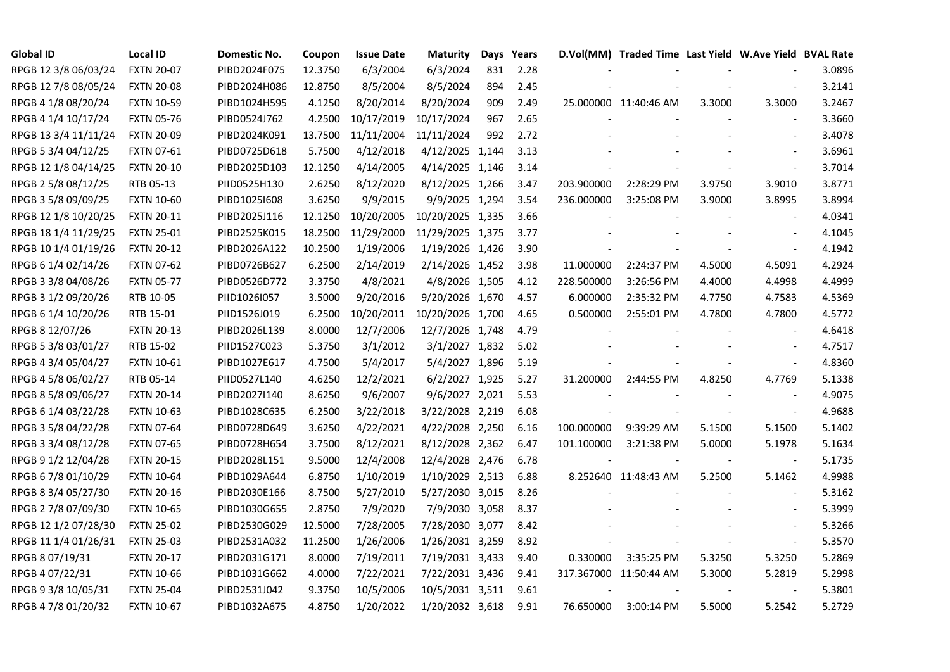| <b>Global ID</b>     | <b>Local ID</b>   | Domestic No. | Coupon  | <b>Issue Date</b> | <b>Maturity</b>  |     | Days Years |            | D.Vol(MM) Traded Time Last Yield W.Ave Yield BVAL Rate |        |                          |        |
|----------------------|-------------------|--------------|---------|-------------------|------------------|-----|------------|------------|--------------------------------------------------------|--------|--------------------------|--------|
| RPGB 12 3/8 06/03/24 | <b>FXTN 20-07</b> | PIBD2024F075 | 12.3750 | 6/3/2004          | 6/3/2024         | 831 | 2.28       |            |                                                        |        |                          | 3.0896 |
| RPGB 12 7/8 08/05/24 | <b>FXTN 20-08</b> | PIBD2024H086 | 12.8750 | 8/5/2004          | 8/5/2024         | 894 | 2.45       |            |                                                        |        |                          | 3.2141 |
| RPGB 4 1/8 08/20/24  | <b>FXTN 10-59</b> | PIBD1024H595 | 4.1250  | 8/20/2014         | 8/20/2024        | 909 | 2.49       |            | 25.000000 11:40:46 AM                                  | 3.3000 | 3.3000                   | 3.2467 |
| RPGB 4 1/4 10/17/24  | <b>FXTN 05-76</b> | PIBD0524J762 | 4.2500  | 10/17/2019        | 10/17/2024       | 967 | 2.65       |            |                                                        |        | $\overline{\phantom{a}}$ | 3.3660 |
| RPGB 13 3/4 11/11/24 | <b>FXTN 20-09</b> | PIBD2024K091 | 13.7500 | 11/11/2004        | 11/11/2024       | 992 | 2.72       |            |                                                        |        | $\overline{a}$           | 3.4078 |
| RPGB 5 3/4 04/12/25  | FXTN 07-61        | PIBD0725D618 | 5.7500  | 4/12/2018         | 4/12/2025 1,144  |     | 3.13       |            |                                                        |        | $\blacksquare$           | 3.6961 |
| RPGB 12 1/8 04/14/25 | <b>FXTN 20-10</b> | PIBD2025D103 | 12.1250 | 4/14/2005         | 4/14/2025 1,146  |     | 3.14       |            |                                                        |        | $\blacksquare$           | 3.7014 |
| RPGB 2 5/8 08/12/25  | RTB 05-13         | PIID0525H130 | 2.6250  | 8/12/2020         | 8/12/2025 1,266  |     | 3.47       | 203.900000 | 2:28:29 PM                                             | 3.9750 | 3.9010                   | 3.8771 |
| RPGB 3 5/8 09/09/25  | <b>FXTN 10-60</b> | PIBD10251608 | 3.6250  | 9/9/2015          | 9/9/2025 1,294   |     | 3.54       | 236.000000 | 3:25:08 PM                                             | 3.9000 | 3.8995                   | 3.8994 |
| RPGB 12 1/8 10/20/25 | <b>FXTN 20-11</b> | PIBD2025J116 | 12.1250 | 10/20/2005        | 10/20/2025 1,335 |     | 3.66       |            |                                                        |        | $\overline{\phantom{a}}$ | 4.0341 |
| RPGB 18 1/4 11/29/25 | <b>FXTN 25-01</b> | PIBD2525K015 | 18.2500 | 11/29/2000        | 11/29/2025 1,375 |     | 3.77       |            |                                                        |        | $\overline{a}$           | 4.1045 |
| RPGB 10 1/4 01/19/26 | <b>FXTN 20-12</b> | PIBD2026A122 | 10.2500 | 1/19/2006         | 1/19/2026 1,426  |     | 3.90       |            |                                                        |        | $\blacksquare$           | 4.1942 |
| RPGB 6 1/4 02/14/26  | <b>FXTN 07-62</b> | PIBD0726B627 | 6.2500  | 2/14/2019         | 2/14/2026 1,452  |     | 3.98       | 11.000000  | 2:24:37 PM                                             | 4.5000 | 4.5091                   | 4.2924 |
| RPGB 3 3/8 04/08/26  | <b>FXTN 05-77</b> | PIBD0526D772 | 3.3750  | 4/8/2021          | 4/8/2026 1,505   |     | 4.12       | 228.500000 | 3:26:56 PM                                             | 4.4000 | 4.4998                   | 4.4999 |
| RPGB 3 1/2 09/20/26  | RTB 10-05         | PIID1026I057 | 3.5000  | 9/20/2016         | 9/20/2026 1,670  |     | 4.57       | 6.000000   | 2:35:32 PM                                             | 4.7750 | 4.7583                   | 4.5369 |
| RPGB 6 1/4 10/20/26  | RTB 15-01         | PIID1526J019 | 6.2500  | 10/20/2011        | 10/20/2026 1,700 |     | 4.65       | 0.500000   | 2:55:01 PM                                             | 4.7800 | 4.7800                   | 4.5772 |
| RPGB 8 12/07/26      | <b>FXTN 20-13</b> | PIBD2026L139 | 8.0000  | 12/7/2006         | 12/7/2026 1,748  |     | 4.79       |            |                                                        |        |                          | 4.6418 |
| RPGB 5 3/8 03/01/27  | RTB 15-02         | PIID1527C023 | 5.3750  | 3/1/2012          | 3/1/2027 1,832   |     | 5.02       |            |                                                        |        | $\overline{\phantom{a}}$ | 4.7517 |
| RPGB 4 3/4 05/04/27  | <b>FXTN 10-61</b> | PIBD1027E617 | 4.7500  | 5/4/2017          | 5/4/2027 1,896   |     | 5.19       |            |                                                        |        | $\blacksquare$           | 4.8360 |
| RPGB 4 5/8 06/02/27  | RTB 05-14         | PIID0527L140 | 4.6250  | 12/2/2021         | 6/2/2027 1,925   |     | 5.27       | 31.200000  | 2:44:55 PM                                             | 4.8250 | 4.7769                   | 5.1338 |
| RPGB 8 5/8 09/06/27  | <b>FXTN 20-14</b> | PIBD2027I140 | 8.6250  | 9/6/2007          | 9/6/2027 2,021   |     | 5.53       |            |                                                        |        | $\overline{a}$           | 4.9075 |
| RPGB 6 1/4 03/22/28  | <b>FXTN 10-63</b> | PIBD1028C635 | 6.2500  | 3/22/2018         | 3/22/2028 2,219  |     | 6.08       |            |                                                        |        | $\overline{\phantom{a}}$ | 4.9688 |
| RPGB 3 5/8 04/22/28  | <b>FXTN 07-64</b> | PIBD0728D649 | 3.6250  | 4/22/2021         | 4/22/2028 2,250  |     | 6.16       | 100.000000 | 9:39:29 AM                                             | 5.1500 | 5.1500                   | 5.1402 |
| RPGB 3 3/4 08/12/28  | <b>FXTN 07-65</b> | PIBD0728H654 | 3.7500  | 8/12/2021         | 8/12/2028 2,362  |     | 6.47       | 101.100000 | 3:21:38 PM                                             | 5.0000 | 5.1978                   | 5.1634 |
| RPGB 9 1/2 12/04/28  | <b>FXTN 20-15</b> | PIBD2028L151 | 9.5000  | 12/4/2008         | 12/4/2028 2,476  |     | 6.78       |            |                                                        |        | $\blacksquare$           | 5.1735 |
| RPGB 67/8 01/10/29   | <b>FXTN 10-64</b> | PIBD1029A644 | 6.8750  | 1/10/2019         | 1/10/2029 2,513  |     | 6.88       |            | 8.252640 11:48:43 AM                                   | 5.2500 | 5.1462                   | 4.9988 |
| RPGB 8 3/4 05/27/30  | <b>FXTN 20-16</b> | PIBD2030E166 | 8.7500  | 5/27/2010         | 5/27/2030 3,015  |     | 8.26       |            |                                                        |        | $\blacksquare$           | 5.3162 |
| RPGB 2 7/8 07/09/30  | <b>FXTN 10-65</b> | PIBD1030G655 | 2.8750  | 7/9/2020          | 7/9/2030 3,058   |     | 8.37       |            |                                                        |        | $\overline{\phantom{a}}$ | 5.3999 |
| RPGB 12 1/2 07/28/30 | <b>FXTN 25-02</b> | PIBD2530G029 | 12.5000 | 7/28/2005         | 7/28/2030 3,077  |     | 8.42       |            |                                                        |        | $\sim$                   | 5.3266 |
| RPGB 11 1/4 01/26/31 | <b>FXTN 25-03</b> | PIBD2531A032 | 11.2500 | 1/26/2006         | 1/26/2031 3,259  |     | 8.92       |            |                                                        |        | $\overline{\phantom{a}}$ | 5.3570 |
| RPGB 8 07/19/31      | <b>FXTN 20-17</b> | PIBD2031G171 | 8.0000  | 7/19/2011         | 7/19/2031 3,433  |     | 9.40       | 0.330000   | 3:35:25 PM                                             | 5.3250 | 5.3250                   | 5.2869 |
| RPGB 4 07/22/31      | <b>FXTN 10-66</b> | PIBD1031G662 | 4.0000  | 7/22/2021         | 7/22/2031 3,436  |     | 9.41       |            | 317.367000 11:50:44 AM                                 | 5.3000 | 5.2819                   | 5.2998 |
| RPGB 9 3/8 10/05/31  | <b>FXTN 25-04</b> | PIBD2531J042 | 9.3750  | 10/5/2006         | 10/5/2031 3,511  |     | 9.61       |            |                                                        |        |                          | 5.3801 |
| RPGB 4 7/8 01/20/32  | <b>FXTN 10-67</b> | PIBD1032A675 | 4.8750  | 1/20/2022         | 1/20/2032 3,618  |     | 9.91       | 76.650000  | 3:00:14 PM                                             | 5.5000 | 5.2542                   | 5.2729 |